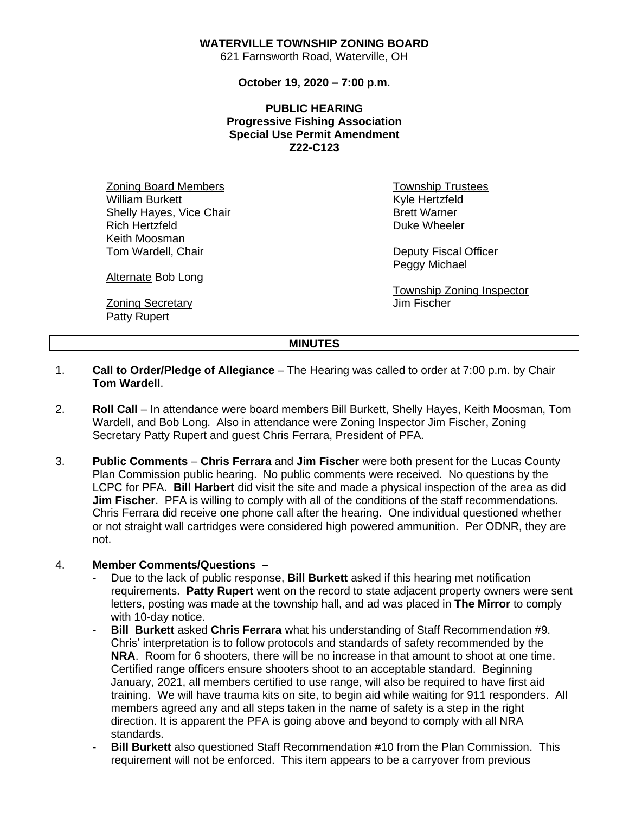## **WATERVILLE TOWNSHIP ZONING BOARD**

621 Farnsworth Road, Waterville, OH

**October 19, 2020 – 7:00 p.m.**

**PUBLIC HEARING Progressive Fishing Association Special Use Permit Amendment Z22-C123**

Zoning Board Members William Burkett Shelly Hayes, Vice Chair Rich Hertzfeld Keith Moosman Tom Wardell, Chair

Township Trustees Kyle Hertzfeld Brett Warner Duke Wheeler

Deputy Fiscal Officer Peggy Michael

Township Zoning Inspector Jim Fischer

Alternate Bob Long

**Zoning Secretary** Patty Rupert

## **MINUTES**

- 1. **Call to Order/Pledge of Allegiance** The Hearing was called to order at 7:00 p.m. by Chair **Tom Wardell**.
- 2. **Roll Call** In attendance were board members Bill Burkett, Shelly Hayes, Keith Moosman, Tom Wardell, and Bob Long. Also in attendance were Zoning Inspector Jim Fischer, Zoning Secretary Patty Rupert and guest Chris Ferrara, President of PFA.
- 3. **Public Comments Chris Ferrara** and **Jim Fischer** were both present for the Lucas County Plan Commission public hearing. No public comments were received. No questions by the LCPC for PFA. **Bill Harbert** did visit the site and made a physical inspection of the area as did **Jim Fischer.** PFA is willing to comply with all of the conditions of the staff recommendations. Chris Ferrara did receive one phone call after the hearing. One individual questioned whether or not straight wall cartridges were considered high powered ammunition. Per ODNR, they are not.

## 4. **Member Comments/Questions** –

- Due to the lack of public response, **Bill Burkett** asked if this hearing met notification requirements. **Patty Rupert** went on the record to state adjacent property owners were sent letters, posting was made at the township hall, and ad was placed in **The Mirror** to comply with 10-day notice.
- **Bill Burkett** asked **Chris Ferrara** what his understanding of Staff Recommendation #9. Chris' interpretation is to follow protocols and standards of safety recommended by the **NRA**. Room for 6 shooters, there will be no increase in that amount to shoot at one time. Certified range officers ensure shooters shoot to an acceptable standard. Beginning January, 2021, all members certified to use range, will also be required to have first aid training. We will have trauma kits on site, to begin aid while waiting for 911 responders. All members agreed any and all steps taken in the name of safety is a step in the right direction. It is apparent the PFA is going above and beyond to comply with all NRA standards.
- **Bill Burkett** also questioned Staff Recommendation #10 from the Plan Commission. This requirement will not be enforced. This item appears to be a carryover from previous